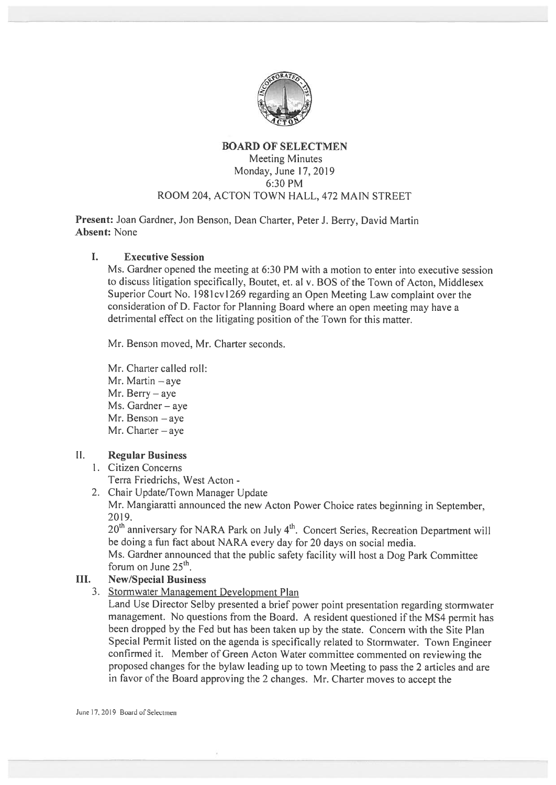

### BOARD OF SELECTMEN Meeting Minutes Monday, June 17, 2019 6:30 PM ROOM 204, ACTON TOWN HALL, 472 MAIN STREET

Present: Joan Gardner, Jon Benson. Dean Charter, Peter J. Berry, David Martin Absent: None

#### $\mathbf{I}$ . Executive Session

Ms. Gardner opened the meeting at 6:30 PM with <sup>a</sup> motion to enter into executive session to discuss litigation specifically, Boutet, et. al v. BOS of the Town of Acton, Middlesex Superior Court No. 1981 cv1269 regarding an Open Meeting Law complaint over the consideration of D. Factor for Planning Board where an open meeting may have <sup>a</sup> detrimental effect on the litigating position of the Town for this matter.

Mr. Benson moved, Mr. Charter seconds.

Mr. Charter called roll:

- Mr. Martin aye
- Mr. Berry aye
- Ms. Gardner—aye
- Mr. Benson aye Mr. Charter — aye

# II. Regular Business

1. Citizen Concerns

Terra Friedrichs, West Acton -

2. Chair Update/Town Manager Update

Mr. Mangiaratti announced the new Acton Power Choice rates beginning in September, 2019.

 $20<sup>th</sup>$  anniversary for NARA Park on July  $4<sup>th</sup>$ . Concert Series, Recreation Department will be doing <sup>a</sup> fun fact about NARA every day for <sup>20</sup> days on social media.

Ms. Gardner announced that the public safety facility will host <sup>a</sup> Dog Park Committee forum on June  $25<sup>th</sup>$ .

# III. New/Special Business

3. Stormwater Management Development Plan

Land Use Director Selby presented <sup>a</sup> brief power point presentation regarding stormwater management. No questions from the Board. <sup>A</sup> resident questioned if the MS4 permit has been dropped by the Fed but has been taken up by the state. Concern with the Site Plan Special Permit listed on the agenda is specifically related to Stormwater. Town Engineer confirmed it. Member of Green Acton Water committee commented on reviewing the propose<sup>d</sup> changes for the bylaw leading up to town Meeting to pass the <sup>2</sup> articles and are in favor of the Board approving the <sup>2</sup> changes. Mr. Charter moves to accep<sup>t</sup> the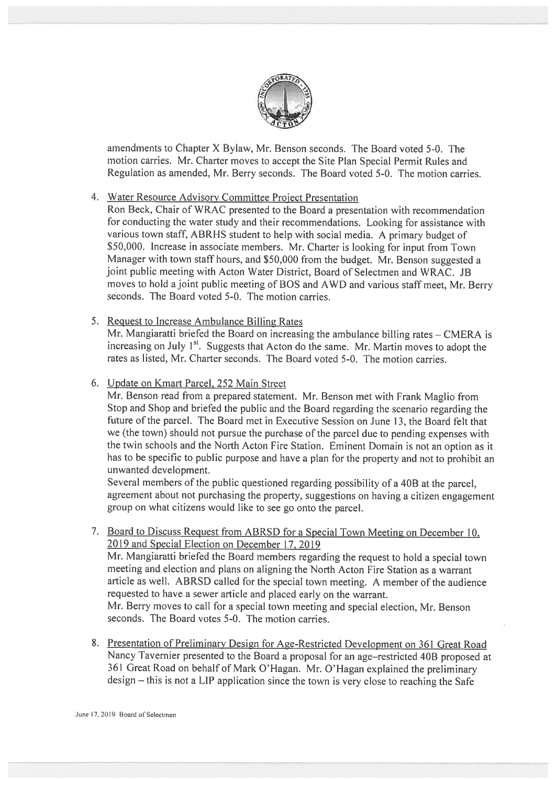

amendments to Chapter X Bylaw, Mr. Benson seconds. The Board voted 5-0. The motion carries. Mr. Charter moves to accep<sup>t</sup> the Site Plan Special Permit Rules and Regulation as amended, Mr. Berry seconds. The Board voted 5-0. The motion carries.

#### 4. Water Resource Advisory Committee Project Presentation

Ron Beck. Chair of WRAC presented to the Board <sup>a</sup> presentation with recommendation for conducting the water study and their recommendations. Looking for assistance with various town staff. ABRHS student to help with social media. <sup>A</sup> primary budget of \$50.000. Increase in associate members. Mr. Charter is looking for input from Town Manager with town staff hours, and \$50,000 from the budget. Mr. Benson suggested <sup>a</sup> joint public meeting with Acton Water District, Board of Selectmen and WRAC. JB moves to hold <sup>a</sup> joint public meeting of BOS and AWD and various staff meet, Mr. Berry seconds. The Board voted 5-0. The motion carries.

5. Request to Increase Ambulance Billing Rates

Mr. Mangiaratti briefed the Board on increasing the ambulance billing rates — CMERA is increasing on July  $1<sup>st</sup>$ . Suggests that Acton do the same. Mr. Martin moves to adopt the rates as listed, Mr. Charter seconds. The Board voted 5-0. The motion carries.

6. Update on Kmart Parcel. 252 Main Street

Mr. Benson read from <sup>a</sup> prepare<sup>d</sup> statement. Mr. Benson met with Frank Maglio from Stop and Shop and briefed the public and the Board regarding the scenario regarding the future of the parcel. The Board met in Executive Session on June 13, the Board felt that we (the town) should not pursue the purchase of the parce<sup>l</sup> due to pending expenses with the twin schools and the North Acton Fire Station. Eminent Domain is not an option as it has to be specific to public purpose and have <sup>a</sup> <sup>p</sup>lan for the property and not to prohibit an unwanted development.

Several members of the public questioned regarding possibility of <sup>a</sup> 40B at the parcel, agreemen<sup>t</sup> about not purchasing the property, suggestions on having <sup>a</sup> citizen engagemen<sup>t</sup> group on what citizens would like to see go onto the parcel.

7. Board to Discuss Request from ABRSD for <sup>a</sup> Special Town Meeting on December 10. 2019 and Special Election on December 17. 2019

Mr. Mangiaratti briefed the Board members regarding the reques<sup>t</sup> to hold <sup>a</sup> special town meeting and election and <sup>p</sup>lans on aligning the North Acton Fire Station as <sup>a</sup> warrant article as well. ABRSD called for the special town meeting. <sup>A</sup> member of the audience requested to have <sup>a</sup> sewer article and <sup>p</sup>laced early on the warrant. Mr. Berry moves to call for <sup>a</sup> special town meeting and special election, Mr. Benson seconds. The Board votes 5-0. The motion carries.

8. Presentation of Preliminary Design for Age-Restricted Development on 36! Great Road Nancy Tavernier presented to the Board <sup>a</sup> proposa<sup>l</sup> for an age—restricted 40B propose<sup>d</sup> at <sup>361</sup> Great Road on behalf of Mark O'Hagan. Mr. O'Hagan explained the preliminary design — this is not <sup>a</sup> LIP application since the town is very close to reaching the Safe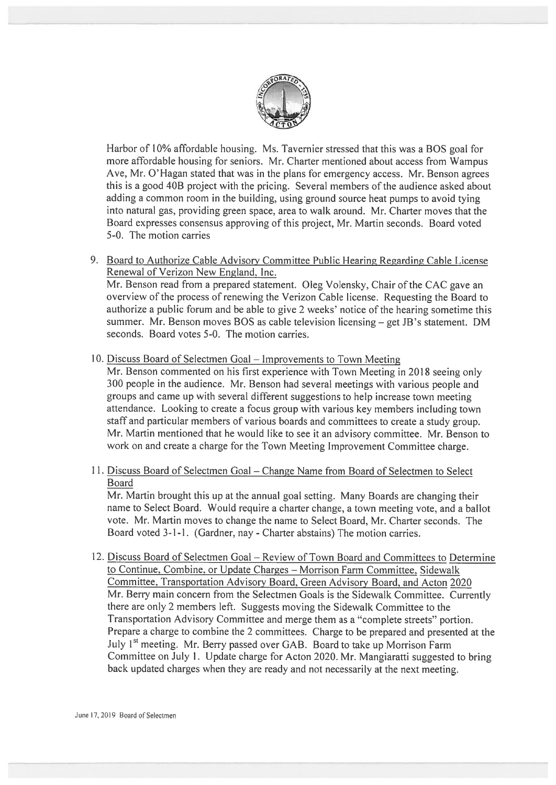

Harbor of 10% affordable housing. Ms. Tavernier stressed that this was <sup>a</sup> BOS goal for more affordable housing for seniors. Mr. Chartet mentioned about access from Wampus Ave, Mr. O'Hagan stated that was in the plans for emergency access. Mr. Benson agrees this is <sup>a</sup> good 40B project with the pricing. Several members of the audience asked about adding <sup>a</sup> common room in the building, using ground source heat pumps to avoid tying into natural gas, providing green space. area to walk around. Mr. Charter moves that the Board expresses consensus approving of this project, Mr. Martin seconds. Board voted 5-0. The motion carries

- 9. Board to Authorize Cable Advisory Committee Public Hearing Regarding Cable License Renewal of Verizon New England. Inc. Mr. Benson read from a prepared statement. Oleg Volensky, Chair of the CAC gave an overview of the process of renewing the Verizon Cable license. Requesting the Board to authorize a public forum and be able to give 2 weeks' notice of the hearing sometime this summer. Mr. Benson moves BOS as cable television licensing — ge<sup>t</sup> JB"s statement. DM seconds. Board votes 5-0. The motion carries.
- 10. Discuss Board of Selectmen Goal Improvements to Town Meeting

Mr. Benson commented on his first experience with Town Meeting in 2018 seeing only 300 people in the audience. Mr. Benson had several meetings with various people and groups and came up with several different suggestions to help increase town meeting attendance. Looking to create <sup>a</sup> focus group with various key members including town staff and particular members of various boards and committees to create <sup>a</sup> study group. Mr. Martin mentioned that he would like to see it an advisory committee. Mr. Benson to work on and create <sup>a</sup> charge for the Town Meeting Improvement Committee charge.

11. Discuss Board of Selectmen Goal — Change Name from Board of Selectmen to Select Board

Mr. Martin brought this up at the annual goal setting. Many Boards are changing their name to Select Board. Would require <sup>a</sup> charter change, <sup>a</sup> town meeting vote, and <sup>a</sup> ballot vote. Mr. Martin moves to change the name to Select Board, Mr. Charter seconds. The Board voted 3-1-1. (Gardner, nay -Charter abstains) The motion carries.

12. Discuss Board of Selectmen Goal — Review of Town Board and Committees to Determine to Continue. Combine, or Update Charges — Morrison Farm Committee. Sidewalk Committee, Transportation Advisory Board. Green Advisory Board, and Acton 2020 Mr. Berry main concern from the Selectmen Goals is the Sidewalk Committee. Currently there are only 2 members left. Suggests moving the Sidewalk Committee to the Transportation Advisory Committee and merge them as a "complete streets" portion. Prepare <sup>a</sup> charge to combine the <sup>2</sup> committees. Charge to be prepared and presented at the July 1<sup>st</sup> meeting. Mr. Berry passed over GAB. Board to take up Morrison Farm Committee on July 1. Update charge for Acton 2020. Mr. Mangiaratti suggested to bring back updated charges when they are ready and not necessarily at the next meeting.